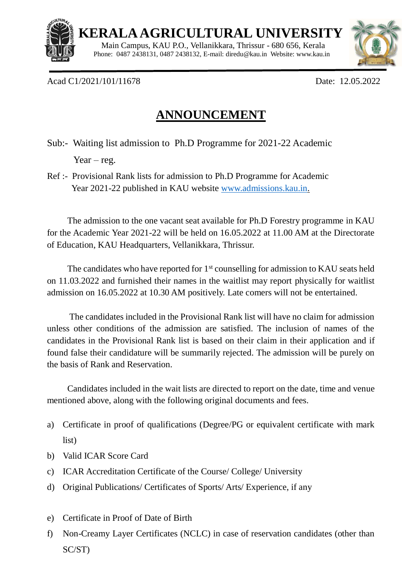

 $\overline{a}$ 

 **KERALA AGRICULTURAL UNIVERSITY**

 Main Campus, KAU P.O., Vellanikkara, Thrissur - 680 656, Kerala Phone: 0487 2438131, 0487 2438132, E-mail[: diredu@kau.in](mailto:diredu@kau.in) Website: [www.kau.in](http://www.kau.in/)



Acad C1/2021/101/11678 Date: 12.05.2022

## **ANNOUNCEMENT**

Sub:- Waiting list admission to Ph.D Programme for 2021-22 Academic

Year – reg.

Ref :- Provisional Rank lists for admission to Ph.D Programme for Academic Year 2021-22 published in KAU website [www.admissions.kau.in.](http://www.admissions.kau.in/)

The admission to the one vacant seat available for Ph.D Forestry programme in KAU for the Academic Year 2021-22 will be held on 16.05.2022 at 11.00 AM at the Directorate of Education, KAU Headquarters, Vellanikkara, Thrissur.

The candidates who have reported for 1<sup>st</sup> counselling for admission to KAU seats held on 11.03.2022 and furnished their names in the waitlist may report physically for waitlist admission on 16.05.2022 at 10.30 AM positively. Late comers will not be entertained.

The candidates included in the Provisional Rank list will have no claim for admission unless other conditions of the admission are satisfied. The inclusion of names of the candidates in the Provisional Rank list is based on their claim in their application and if found false their candidature will be summarily rejected. The admission will be purely on the basis of Rank and Reservation.

Candidates included in the wait lists are directed to report on the date, time and venue mentioned above, along with the following original documents and fees.

- a) Certificate in proof of qualifications (Degree/PG or equivalent certificate with mark list)
- b) Valid ICAR Score Card
- c) ICAR Accreditation Certificate of the Course/ College/ University
- d) Original Publications/ Certificates of Sports/ Arts/ Experience, if any
- e) Certificate in Proof of Date of Birth
- f) Non-Creamy Layer Certificates (NCLC) in case of reservation candidates (other than SC/ST)